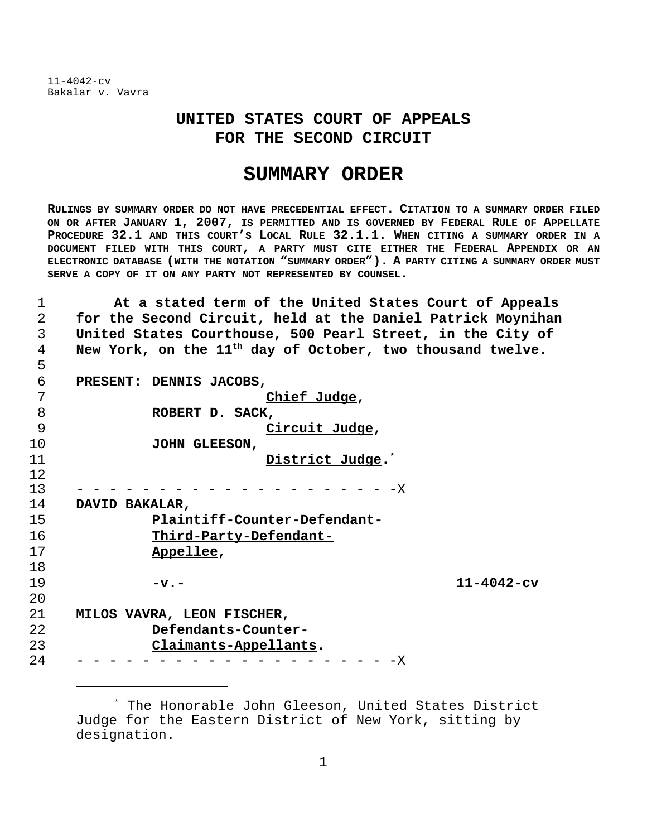## **UNITED STATES COURT OF APPEALS FOR THE SECOND CIRCUIT**

## **SUMMARY ORDER**

**RULINGS BY SUMMARY ORDER DO NOT HAVE PRECEDENTIAL EFFECT. CITATION TO A SUMMARY ORDER FILED ON OR AFTER JANUARY 1, 2007, IS PERMITTED AND IS GOVERNED BY FEDERAL RULE OF APPELLATE PROCEDURE 32.1 AND THIS COURT'S LOCAL RULE 32.1.1. WHEN CITING A SUMMARY ORDER IN A DOCUMENT FILED WITH THIS COURT, A PARTY MUST CITE EITHER THE FEDERAL APPENDIX OR AN ELECTRONIC DATABASE (WITH THE NOTATION "SUMMARY ORDER"). A PARTY CITING A SUMMARY ORDER MUST SERVE A COPY OF IT ON ANY PARTY NOT REPRESENTED BY COUNSEL.**

 **At a stated term of the United States Court of Appeals for the Second Circuit, held at the Daniel Patrick Moynihan United States Courthouse, 500 Pearl Street, in the City of** A New York, on the 11<sup>th</sup> day of October, two thousand twelve.

**PRESENT: DENNIS JACOBS,**

| 7  | Chief Judge,                                                                                                                                                                                                                                                                                                                                                                                                                                                                                   |                  |
|----|------------------------------------------------------------------------------------------------------------------------------------------------------------------------------------------------------------------------------------------------------------------------------------------------------------------------------------------------------------------------------------------------------------------------------------------------------------------------------------------------|------------------|
| 8  | ROBERT D. SACK,                                                                                                                                                                                                                                                                                                                                                                                                                                                                                |                  |
| 9  | Circuit Judge,                                                                                                                                                                                                                                                                                                                                                                                                                                                                                 |                  |
| 10 | JOHN GLEESON,                                                                                                                                                                                                                                                                                                                                                                                                                                                                                  |                  |
| 11 | District Judge. <sup>*</sup>                                                                                                                                                                                                                                                                                                                                                                                                                                                                   |                  |
| 12 |                                                                                                                                                                                                                                                                                                                                                                                                                                                                                                |                  |
| 13 | - - - - - - - - - - - - X                                                                                                                                                                                                                                                                                                                                                                                                                                                                      |                  |
| 14 | DAVID BAKALAR,                                                                                                                                                                                                                                                                                                                                                                                                                                                                                 |                  |
| 15 | Plaintiff-Counter-Defendant-                                                                                                                                                                                                                                                                                                                                                                                                                                                                   |                  |
| 16 | Third-Party-Defendant-                                                                                                                                                                                                                                                                                                                                                                                                                                                                         |                  |
| 17 | Appellee,                                                                                                                                                                                                                                                                                                                                                                                                                                                                                      |                  |
| 18 |                                                                                                                                                                                                                                                                                                                                                                                                                                                                                                |                  |
| 19 | $-\mathbf{v}$ . $-$                                                                                                                                                                                                                                                                                                                                                                                                                                                                            | $11 - 4042 - cv$ |
| 20 |                                                                                                                                                                                                                                                                                                                                                                                                                                                                                                |                  |
| 21 | MILOS VAVRA, LEON FISCHER,                                                                                                                                                                                                                                                                                                                                                                                                                                                                     |                  |
| 22 | Defendants-Counter-                                                                                                                                                                                                                                                                                                                                                                                                                                                                            |                  |
| 23 | Claimants-Appellants.                                                                                                                                                                                                                                                                                                                                                                                                                                                                          |                  |
| 24 | $\begin{array}{cccccccccccccc} \multicolumn{2}{c}{} & \multicolumn{2}{c}{} & \multicolumn{2}{c}{} & \multicolumn{2}{c}{} & \multicolumn{2}{c}{} & \multicolumn{2}{c}{} & \multicolumn{2}{c}{} & \multicolumn{2}{c}{} & \multicolumn{2}{c}{} & \multicolumn{2}{c}{} & \multicolumn{2}{c}{} & \multicolumn{2}{c}{} & \multicolumn{2}{c}{} & \multicolumn{2}{c}{} & \multicolumn{2}{c}{} & \multicolumn{2}{c}{} & \multicolumn{2}{c}{} & \multicolumn{2}{c}{} & \multicolumn{2}{c}{} & \$<br>$-X$ |                  |

<sup>\*</sup> The Honorable John Gleeson, United States District Judge for the Eastern District of New York, sitting by designation.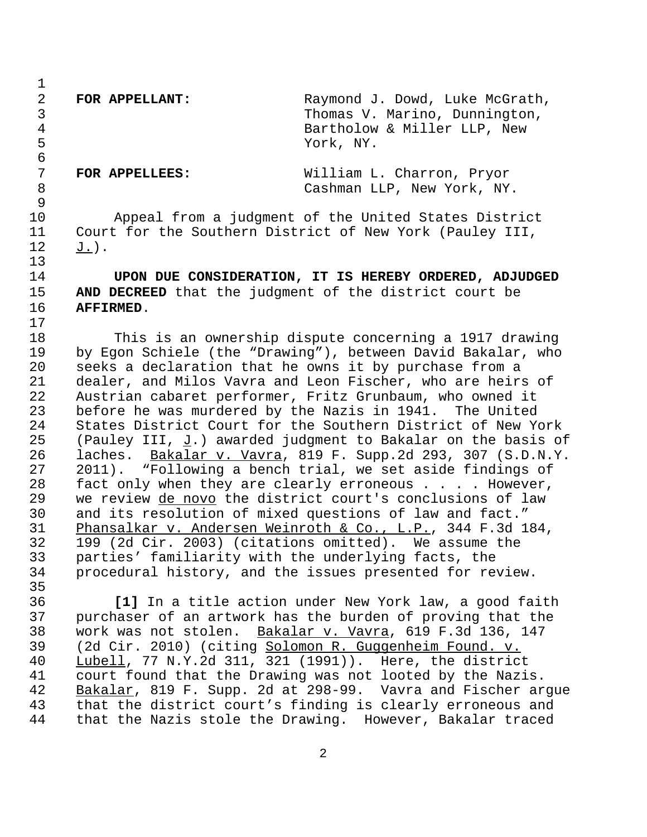**FOR APPELLANT:** Raymond J. Dowd, Luke McGrath, Thomas V. Marino, Dunnington, Bartholow & Miller LLP, New York, NY.

 **FOR APPELLEES:** William L. Charron, Pryor Cashman LLP, New York, NY.

 Appeal from a judgment of the United States District Court for the Southern District of New York (Pauley III, J.).

 **UPON DUE CONSIDERATION, IT IS HEREBY ORDERED, ADJUDGED AND DECREED** that the judgment of the district court be **AFFIRMED**.

 This is an ownership dispute concerning a 1917 drawing by Egon Schiele (the "Drawing"), between David Bakalar, who seeks a declaration that he owns it by purchase from a dealer, and Milos Vavra and Leon Fischer, who are heirs of Austrian cabaret performer, Fritz Grunbaum, who owned it before he was murdered by the Nazis in 1941. The United States District Court for the Southern District of New York 25 (Pauley III,  $J$ .) awarded judgment to Bakalar on the basis of laches. Bakalar v. Vavra, 819 F. Supp.2d 293, 307 (S.D.N.Y. 2011). "Following a bench trial, we set aside findings of fact only when they are clearly erroneous . . . . However, we review de novo the district court's conclusions of law and its resolution of mixed questions of law and fact." Phansalkar v. Andersen Weinroth & Co., L.P., 344 F.3d 184, 199 (2d Cir. 2003) (citations omitted). We assume the parties' familiarity with the underlying facts, the procedural history, and the issues presented for review.

 **[1]** In a title action under New York law, a good faith purchaser of an artwork has the burden of proving that the 38 work was not stolen. <u>Bakalar v. Vavra</u>, 619 F.3d 136, 147<br>39 (2d Cir. 2010) (citing Solomon R. Guggenheim Found. v. (2d Cir. 2010) (citing Solomon R. Guggenheim Found. v. Lubell, 77 N.Y.2d 311, 321 (1991)). Here, the district court found that the Drawing was not looted by the Nazis. 42 Bakalar, 819 F. Supp. 2d at 298-99. Vavra and Fischer argue<br>43 that the district court's finding is clearly erroneous and that the district court's finding is clearly erroneous and that the Nazis stole the Drawing. However, Bakalar traced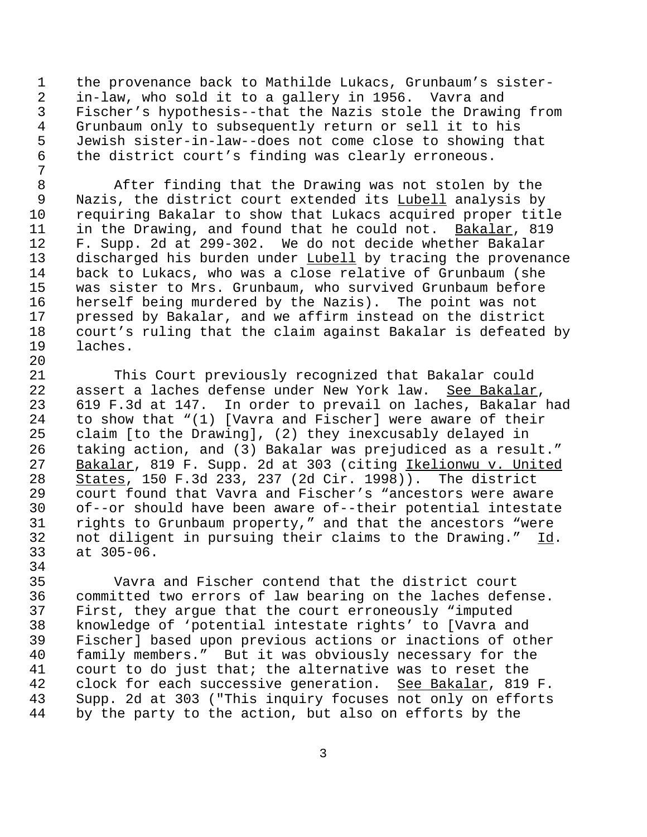the provenance back to Mathilde Lukacs, Grunbaum's sister- in-law, who sold it to a gallery in 1956. Vavra and Fischer's hypothesis--that the Nazis stole the Drawing from Grunbaum only to subsequently return or sell it to his Jewish sister-in-law--does not come close to showing that the district court's finding was clearly erroneous.

 After finding that the Drawing was not stolen by the Nazis, the district court extended its Lubell analysis by requiring Bakalar to show that Lukacs acquired proper title in the Drawing, and found that he could not. Bakalar, 819 F. Supp. 2d at 299-302. We do not decide whether Bakalar discharged his burden under Lubell by tracing the provenance back to Lukacs, who was a close relative of Grunbaum (she was sister to Mrs. Grunbaum, who survived Grunbaum before herself being murdered by the Nazis). The point was not pressed by Bakalar, and we affirm instead on the district court's ruling that the claim against Bakalar is defeated by laches.

 This Court previously recognized that Bakalar could assert a laches defense under New York law. See Bakalar, 619 F.3d at 147. In order to prevail on laches, Bakalar had to show that "(1) [Vavra and Fischer] were aware of their claim [to the Drawing], (2) they inexcusably delayed in taking action, and (3) Bakalar was prejudiced as a result." Bakalar, 819 F. Supp. 2d at 303 (citing Ikelionwu v. United States, 150 F.3d 233, 237 (2d Cir. 1998)). The district court found that Vavra and Fischer's "ancestors were aware of--or should have been aware of--their potential intestate rights to Grunbaum property," and that the ancestors "were 32 not diligent in pursuing their claims to the Drawing."  $\underline{Id}$ .<br>33 at 305-06.  $at 305-06.$ 

34<br>35 Vavra and Fischer contend that the district court committed two errors of law bearing on the laches defense. First, they argue that the court erroneously "imputed knowledge of 'potential intestate rights' to [Vavra and Fischer] based upon previous actions or inactions of other family members." But it was obviously necessary for the court to do just that; the alternative was to reset the 42 clock for each successive generation. See Bakalar, 819 F. Supp. 2d at 303 ("This inquiry focuses not only on efforts by the party to the action, but also on efforts by the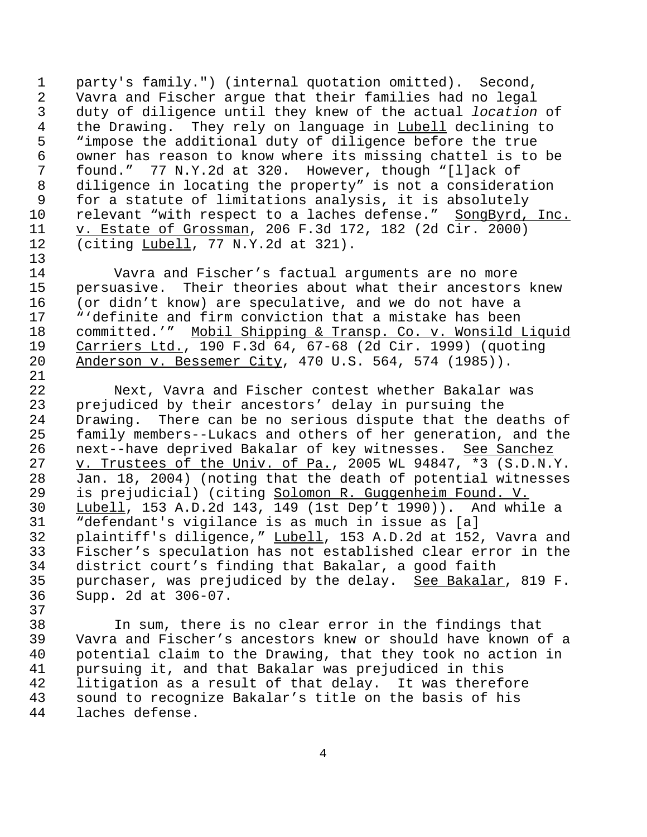1 party's family.") (internal quotation omitted). Second, 2 Vavra and Fischer argue that their families had no legal 3 duty of diligence until they knew of the actual *location* of 4 the Drawing. They rely on language in <u>Lubell</u> declining to<br>5 Timpose the additional duty of diligence before the true 5 The state in the additional duty of diligence before the true<br>6 The owner has reason to know where its missing chattel is to 6 owner has reason to know where its missing chattel is to be<br>7 found." 77 N.Y.2d at 320. However, though "Illack of 7 found." 77 N.Y.2d at 320. However, though "[l]ack of 8 diligence in locating the property" is not a consideration<br>9 for a statute of limitations analysis, it is absolutely for a statute of limitations analysis, it is absolutely 10 relevant "with respect to a laches defense." SongByrd, Inc. 11 v. Estate of Grossman, 206 F.3d 172, 182 (2d Cir. 2000)<br>12 (citing Lubell, 77 N.Y.2d at 321).  $(citing Lubell, 77 N.Y.2d at 321).$ 

13<br>14 Vavra and Fischer's factual arguments are no more 15 persuasive. Their theories about what their ancestors knew 16 (or didn't know) are speculative, and we do not have a 17 "'definite and firm conviction that a mistake has been 18 committed.'" Mobil Shipping & Transp. Co. v. Wonsild Liquid 19 Carriers Ltd., 190 F.3d 64, 67-68 (2d Cir. 1999) (quoting<br>20 Anderson v. Bessemer City, 470 U.S. 564, 574 (1985)). Anderson v. Bessemer City, 470 U.S. 564, 574 (1985)).

21<br>22 Next, Vavra and Fischer contest whether Bakalar was prejudiced by their ancestors' delay in pursuing the Drawing. There can be no serious dispute that the deaths of family members--Lukacs and others of her generation, and the 26 next--have deprived Bakalar of key witnesses. 27 v. Trustees of the Univ. of Pa., 2005 WL 94847, \*3 (S.D.N.Y. Jan. 18, 2004) (noting that the death of potential witnesses is prejudicial) (citing Solomon R. Guggenheim Found. V. Lubell, 153 A.D.2d 143, 149 (1st Dep't 1990)). And while a "defendant's vigilance is as much in issue as [a] plaintiff's diligence," Lubell, 153 A.D.2d at 152, Vavra and Fischer's speculation has not established clear error in the district court's finding that Bakalar, a good faith purchaser, was prejudiced by the delay. See Bakalar, 819 F. Supp. 2d at 306-07.

38 In sum, there is no clear error in the findings that Vavra and Fischer's ancestors knew or should have known of a 40 potential claim to the Drawing, that they took no action in<br>41 pursuing it, and that Bakalar was prejudiced in this pursuing it, and that Bakalar was prejudiced in this 42 litigation as a result of that delay. It was therefore 43 sound to recognize Bakalar's title on the basis of his 44 laches defense.

37

4